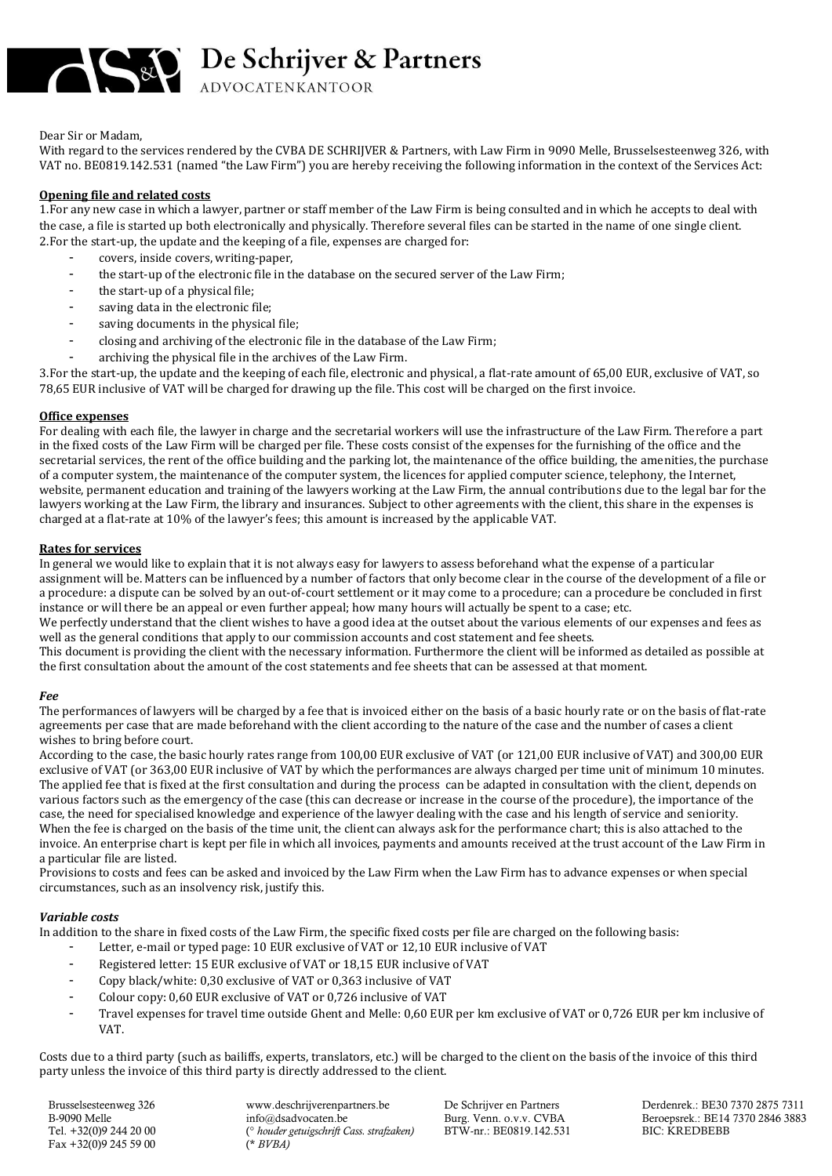

Dear Sir or Madam,

With regard to the services rendered by the CVBA DE SCHRIJVER & Partners, with Law Firm in 9090 Melle, Brusselsesteenweg 326, with VAT no. BE0819.142.531 (named "the Law Firm") you are hereby receiving the following information in the context of the Services Act:

## **Opening file and related costs**

1.For any new case in which a lawyer, partner or staff member of the Law Firm is being consulted and in which he accepts to deal with the case, a file is started up both electronically and physically. Therefore several files can be started in the name of one single client. 2.For the start-up, the update and the keeping of a file, expenses are charged for:

- covers, inside covers, writing-paper,
- the start-up of the electronic file in the database on the secured server of the Law Firm;
- the start-up of a physical file;
- saving data in the electronic file;
- saving documents in the physical file;
- closing and archiving of the electronic file in the database of the Law Firm;
- archiving the physical file in the archives of the Law Firm.

3.For the start-up, the update and the keeping of each file, electronic and physical, a flat-rate amount of 65,00 EUR, exclusive of VAT, so 78,65 EUR inclusive of VAT will be charged for drawing up the file. This cost will be charged on the first invoice.

#### **Office expenses**

For dealing with each file, the lawyer in charge and the secretarial workers will use the infrastructure of the Law Firm. Therefore a part in the fixed costs of the Law Firm will be charged per file. These costs consist of the expenses for the furnishing of the office and the secretarial services, the rent of the office building and the parking lot, the maintenance of the office building, the amenities, the purchase of a computer system, the maintenance of the computer system, the licences for applied computer science, telephony, the Internet, website, permanent education and training of the lawyers working at the Law Firm, the annual contributions due to the legal bar for the lawyers working at the Law Firm, the library and insurances. Subject to other agreements with the client, this share in the expenses is charged at a flat-rate at 10% of the lawyer's fees; this amount is increased by the applicable VAT.

### **Rates for services**

In general we would like to explain that it is not always easy for lawyers to assess beforehand what the expense of a particular assignment will be. Matters can be influenced by a number of factors that only become clear in the course of the development of a file or a procedure: a dispute can be solved by an out-of-court settlement or it may come to a procedure; can a procedure be concluded in first instance or will there be an appeal or even further appeal; how many hours will actually be spent to a case; etc.

We perfectly understand that the client wishes to have a good idea at the outset about the various elements of our expenses and fees as well as the general conditions that apply to our commission accounts and cost statement and fee sheets.

This document is providing the client with the necessary information. Furthermore the client will be informed as detailed as possible at the first consultation about the amount of the cost statements and fee sheets that can be assessed at that moment.

#### *Fee*

The performances of lawyers will be charged by a fee that is invoiced either on the basis of a basic hourly rate or on the basis of flat-rate agreements per case that are made beforehand with the client according to the nature of the case and the number of cases a client wishes to bring before court.

According to the case, the basic hourly rates range from 100,00 EUR exclusive of VAT (or 121,00 EUR inclusive of VAT) and 300,00 EUR exclusive of VAT (or 363,00 EUR inclusive of VAT by which the performances are always charged per time unit of minimum 10 minutes. The applied fee that is fixed at the first consultation and during the process can be adapted in consultation with the client, depends on various factors such as the emergency of the case (this can decrease or increase in the course of the procedure), the importance of the case, the need for specialised knowledge and experience of the lawyer dealing with the case and his length of service and seniority. When the fee is charged on the basis of the time unit, the client can always ask for the performance chart; this is also attached to the invoice. An enterprise chart is kept per file in which all invoices, payments and amounts received at the trust account of the Law Firm in a particular file are listed.

Provisions to costs and fees can be asked and invoiced by the Law Firm when the Law Firm has to advance expenses or when special circumstances, such as an insolvency risk, justify this.

# *Variable costs*

In addition to the share in fixed costs of the Law Firm, the specific fixed costs per file are charged on the following basis:

- Letter, e-mail or typed page: 10 EUR exclusive of VAT or 12,10 EUR inclusive of VAT
- Registered letter: 15 EUR exclusive of VAT or 18,15 EUR inclusive of VAT
- Copy black/white: 0,30 exclusive of VAT or 0,363 inclusive of VAT
- Colour copy: 0,60 EUR exclusive of VAT or 0,726 inclusive of VAT
- Travel expenses for travel time outside Ghent and Melle: 0,60 EUR per km exclusive of VAT or 0,726 EUR per km inclusive of VAT.

Costs due to a third party (such as bailiffs, experts, translators, etc.) will be charged to the client on the basis of the invoice of this third party unless the invoice of this third party is directly addressed to the client.

Fax +32(0)9 245 59 00 (\* *BVBA)*

Tel. +32(0)9 244 20 00 (<sup>°</sup> *houder getuigschrift Cass. strafzaken*) BTW-nr.: BE0819.142.531

Brusselsesteenweg 326 www.deschrijverenpartners.be De Schrijver en Partners Derdenrek.: BE30 7370 2875 7311<br>B-9090 Melle De Schrijver en Partners Deuts, Der De Schrijver en Partners Der Deroepsrek.: BE14 7370 2846 388 Beroepsrek.: BE14 7370 2846 3883<br>BIC: KREDBEBB